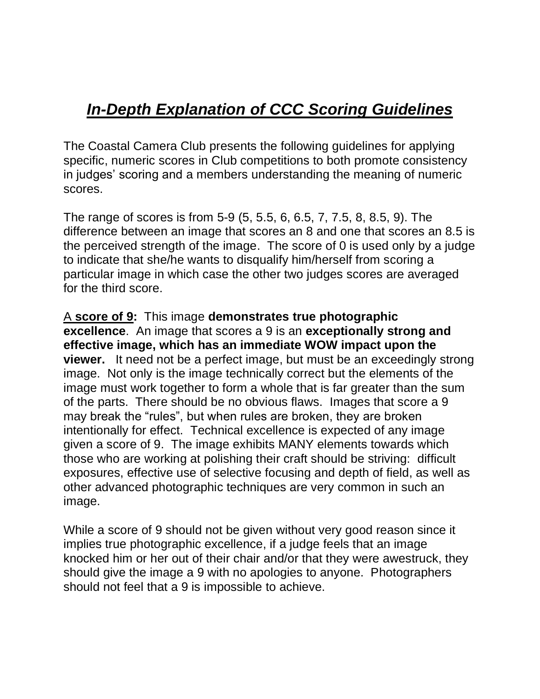## *In-Depth Explanation of CCC Scoring Guidelines*

The Coastal Camera Club presents the following guidelines for applying specific, numeric scores in Club competitions to both promote consistency in judges' scoring and a members understanding the meaning of numeric scores.

The range of scores is from 5-9 (5, 5.5, 6, 6.5, 7, 7.5, 8, 8.5, 9). The difference between an image that scores an 8 and one that scores an 8.5 is the perceived strength of the image. The score of 0 is used only by a judge to indicate that she/he wants to disqualify him/herself from scoring a particular image in which case the other two judges scores are averaged for the third score.

A **score of 9:** This image **demonstrates true photographic excellence**. An image that scores a 9 is an **exceptionally strong and effective image, which has an immediate WOW impact upon the viewer.** It need not be a perfect image, but must be an exceedingly strong image. Not only is the image technically correct but the elements of the image must work together to form a whole that is far greater than the sum of the parts. There should be no obvious flaws. Images that score a 9 may break the "rules", but when rules are broken, they are broken intentionally for effect. Technical excellence is expected of any image given a score of 9. The image exhibits MANY elements towards which those who are working at polishing their craft should be striving: difficult exposures, effective use of selective focusing and depth of field, as well as other advanced photographic techniques are very common in such an image.

While a score of 9 should not be given without very good reason since it implies true photographic excellence, if a judge feels that an image knocked him or her out of their chair and/or that they were awestruck, they should give the image a 9 with no apologies to anyone. Photographers should not feel that a 9 is impossible to achieve.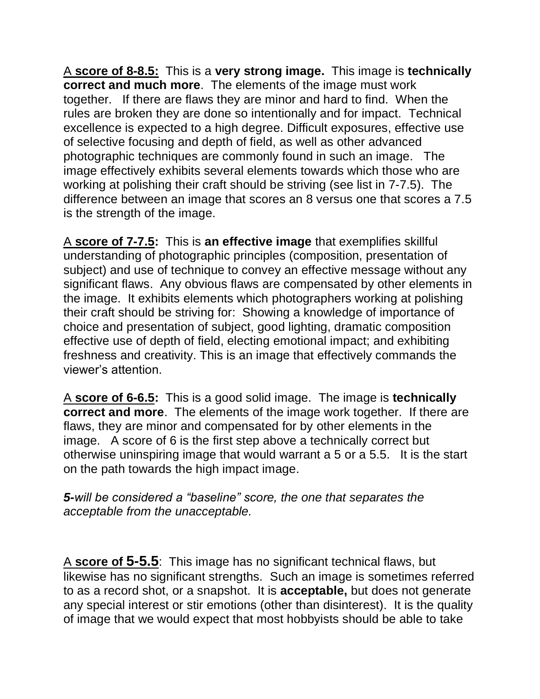A **score of 8-8.5:** This is a **very strong image.** This image is **technically correct and much more**. The elements of the image must work together. If there are flaws they are minor and hard to find. When the rules are broken they are done so intentionally and for impact. Technical excellence is expected to a high degree. Difficult exposures, effective use of selective focusing and depth of field, as well as other advanced photographic techniques are commonly found in such an image. The image effectively exhibits several elements towards which those who are working at polishing their craft should be striving (see list in 7-7.5). The difference between an image that scores an 8 versus one that scores a 7.5 is the strength of the image.

A **score of 7-7.5:** This is **an effective image** that exemplifies skillful understanding of photographic principles (composition, presentation of subject) and use of technique to convey an effective message without any significant flaws. Any obvious flaws are compensated by other elements in the image. It exhibits elements which photographers working at polishing their craft should be striving for: Showing a knowledge of importance of choice and presentation of subject, good lighting, dramatic composition effective use of depth of field, electing emotional impact; and exhibiting freshness and creativity. This is an image that effectively commands the viewer's attention.

A **score of 6-6.5:** This is a good solid image. The image is **technically correct and more**. The elements of the image work together. If there are flaws, they are minor and compensated for by other elements in the image. A score of 6 is the first step above a technically correct but otherwise uninspiring image that would warrant a 5 or a 5.5. It is the start on the path towards the high impact image.

*5-will be considered a "baseline" score, the one that separates the acceptable from the unacceptable.*

A **score of 5-5.5**: This image has no significant technical flaws, but likewise has no significant strengths. Such an image is sometimes referred to as a record shot, or a snapshot. It is **acceptable,** but does not generate any special interest or stir emotions (other than disinterest). It is the quality of image that we would expect that most hobbyists should be able to take